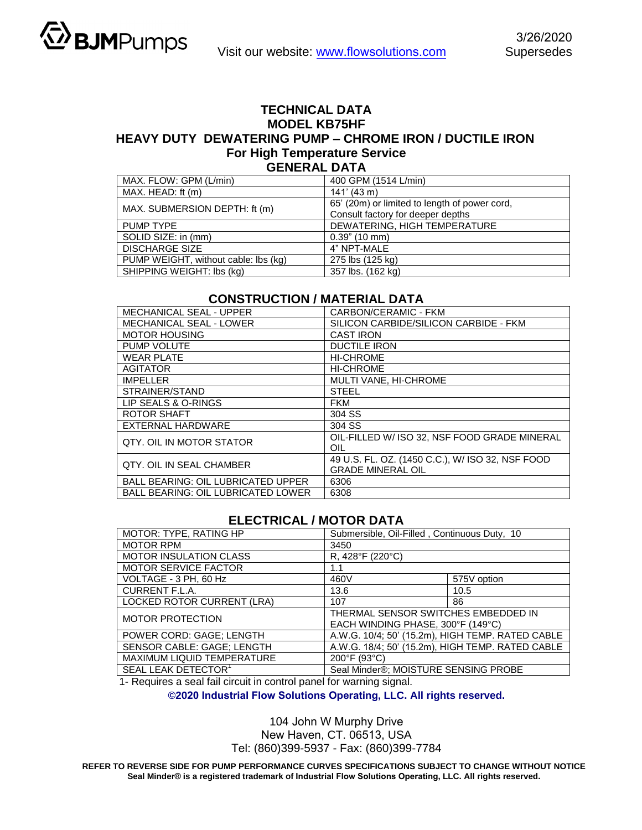## **TECHNICAL DATA MODEL KB75HF HEAVY DUTY DEWATERING PUMP – CHROME IRON / DUCTILE IRON For High Temperature Service GENERAL DATA**

| MAX. FLOW: GPM (L/min)               | 400 GPM (1514 L/min)                          |  |  |
|--------------------------------------|-----------------------------------------------|--|--|
| MAX. HEAD: ft (m)                    | $141'$ (43 m)                                 |  |  |
| MAX. SUBMERSION DEPTH: ft (m)        | 65' (20m) or limited to length of power cord, |  |  |
|                                      | Consult factory for deeper depths             |  |  |
| PUMP TYPE                            | DEWATERING, HIGH TEMPERATURE                  |  |  |
| SOLID SIZE: in (mm)                  | $0.39$ " (10 mm)                              |  |  |
| <b>DISCHARGE SIZE</b>                | 4" NPT-MALE                                   |  |  |
| PUMP WEIGHT, without cable: lbs (kg) | 275 lbs (125 kg)                              |  |  |
| SHIPPING WEIGHT: Ibs (kg)            | 357 lbs. (162 kg)                             |  |  |

## **CONSTRUCTION / MATERIAL DATA**

| <b>MECHANICAL SEAL - UPPER</b>            | CARBON/CERAMIC - FKM                                                         |  |  |
|-------------------------------------------|------------------------------------------------------------------------------|--|--|
| <b>MECHANICAL SEAL - LOWER</b>            | SILICON CARBIDE/SILICON CARBIDE - FKM                                        |  |  |
| <b>MOTOR HOUSING</b>                      | <b>CAST IRON</b>                                                             |  |  |
| PUMP VOLUTE                               | <b>DUCTILE IRON</b>                                                          |  |  |
| <b>WEAR PLATE</b>                         | <b>HI-CHROME</b>                                                             |  |  |
| <b>AGITATOR</b>                           | <b>HI-CHROME</b>                                                             |  |  |
| <b>IMPELLER</b>                           | MULTI VANE, HI-CHROME                                                        |  |  |
| STRAINER/STAND                            | <b>STEEL</b>                                                                 |  |  |
| LIP SEALS & O-RINGS                       | <b>FKM</b>                                                                   |  |  |
| <b>ROTOR SHAFT</b>                        | 304 SS                                                                       |  |  |
| <b>EXTERNAL HARDWARE</b>                  | 304 SS                                                                       |  |  |
| QTY, OIL IN MOTOR STATOR                  | OIL-FILLED W/ ISO 32, NSF FOOD GRADE MINERAL<br>OIL                          |  |  |
| <b>QTY. OIL IN SEAL CHAMBER</b>           | 49 U.S. FL. OZ. (1450 C.C.), W/ ISO 32, NSF FOOD<br><b>GRADE MINERAL OIL</b> |  |  |
| <b>BALL BEARING: OIL LUBRICATED UPPER</b> | 6306                                                                         |  |  |
| <b>BALL BEARING: OIL LUBRICATED LOWER</b> | 6308                                                                         |  |  |

## **ELECTRICAL / MOTOR DATA**

| MOTOR: TYPE, RATING HP          | Submersible, Oil-Filled, Continuous Duty, 10     |             |  |
|---------------------------------|--------------------------------------------------|-------------|--|
| <b>MOTOR RPM</b>                | 3450                                             |             |  |
| <b>MOTOR INSULATION CLASS</b>   | R, 428°F (220°C)                                 |             |  |
| <b>MOTOR SERVICE FACTOR</b>     | 1.1                                              |             |  |
| VOLTAGE - 3 PH, 60 Hz           | 460V                                             | 575V option |  |
| CURRENT F.L.A.                  | 13.6                                             | 10.5        |  |
| LOCKED ROTOR CURRENT (LRA)      | 107                                              | 86          |  |
| <b>MOTOR PROTECTION</b>         | THERMAL SENSOR SWITCHES EMBEDDED IN              |             |  |
|                                 | EACH WINDING PHASE, 300°F (149°C)                |             |  |
| POWER CORD: GAGE; LENGTH        | A.W.G. 10/4; 50' (15.2m), HIGH TEMP. RATED CABLE |             |  |
| SENSOR CABLE: GAGE; LENGTH      | A.W.G. 18/4; 50' (15.2m), HIGH TEMP. RATED CABLE |             |  |
| MAXIMUM LIQUID TEMPERATURE      | 200°F (93°C)                                     |             |  |
| SEAL LEAK DETECTOR <sup>1</sup> | Seal Minder®; MOISTURE SENSING PROBE             |             |  |

1- Requires a seal fail circuit in control panel for warning signal.

**©2020 Industrial Flow Solutions Operating, LLC. All rights reserved.** 

104 John W Murphy Drive

New Haven, CT. 06513, USA Tel: (860)399-5937 - Fax: (860)399-7784

**REFER TO REVERSE SIDE FOR PUMP PERFORMANCE CURVES SPECIFICATIONS SUBJECT TO CHANGE WITHOUT NOTICE Seal Minder® is a registered trademark of Industrial Flow Solutions Operating, LLC. All rights reserved.**